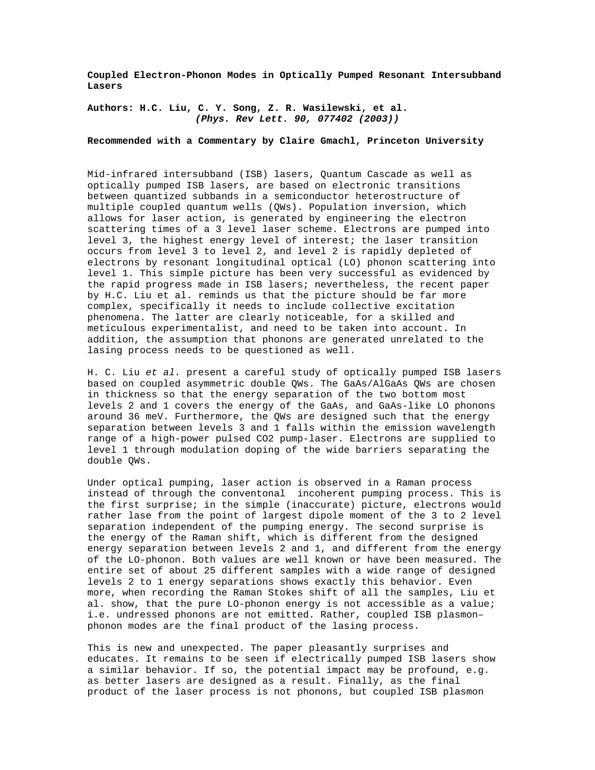**Coupled Electron-Phonon Modes in Optically Pumped Resonant Intersubband Lasers**

**Authors: H.C. Liu, C. Y. Song, Z. R. Wasilewski, et al. (Phys. Rev Lett. 90, 077402 (2003))**

**Recommended with a Commentary by Claire Gmachl, Princeton University**

Mid-infrared intersubband (ISB) lasers, Quantum Cascade as well as optically pumped ISB lasers, are based on electronic transitions between quantized subbands in a semiconductor heterostructure of multiple coupled quantum wells (QWs). Population inversion, which allows for laser action, is generated by engineering the electron scattering times of a 3 level laser scheme. Electrons are pumped into level 3, the highest energy level of interest; the laser transition occurs from level 3 to level 2, and level 2 is rapidly depleted of electrons by resonant longitudinal optical (LO) phonon scattering into level 1. This simple picture has been very successful as evidenced by the rapid progress made in ISB lasers; nevertheless, the recent paper by H.C. Liu et al. reminds us that the picture should be far more complex, specifically it needs to include collective excitation phenomena. The latter are clearly noticeable, for a skilled and meticulous experimentalist, and need to be taken into account. In addition, the assumption that phonons are generated unrelated to the lasing process needs to be questioned as well.

H. C. Liu et al. present a careful study of optically pumped ISB lasers based on coupled asymmetric double QWs. The GaAs/AlGaAs QWs are chosen in thickness so that the energy separation of the two bottom most levels 2 and 1 covers the energy of the GaAs, and GaAs-like LO phonons around 36 meV. Furthermore, the QWs are designed such that the energy separation between levels 3 and 1 falls within the emission wavelength range of a high-power pulsed CO2 pump-laser. Electrons are supplied to level 1 through modulation doping of the wide barriers separating the double QWs.

Under optical pumping, laser action is observed in a Raman process instead of through the conventonal incoherent pumping process. This is the first surprise; in the simple (inaccurate) picture, electrons would rather lase from the point of largest dipole moment of the 3 to 2 level separation independent of the pumping energy. The second surprise is the energy of the Raman shift, which is different from the designed energy separation between levels 2 and 1, and different from the energy of the LO-phonon. Both values are well known or have been measured. The entire set of about 25 different samples with a wide range of designed levels 2 to 1 energy separations shows exactly this behavior. Even more, when recording the Raman Stokes shift of all the samples, Liu et al. show, that the pure LO-phonon energy is not accessible as a value; i.e. undressed phonons are not emitted. Rather, coupled ISB plasmon– phonon modes are the final product of the lasing process.

This is new and unexpected. The paper pleasantly surprises and educates. It remains to be seen if electrically pumped ISB lasers show a similar behavior. If so, the potential impact may be profound, e.g. as better lasers are designed as a result. Finally, as the final product of the laser process is not phonons, but coupled ISB plasmon